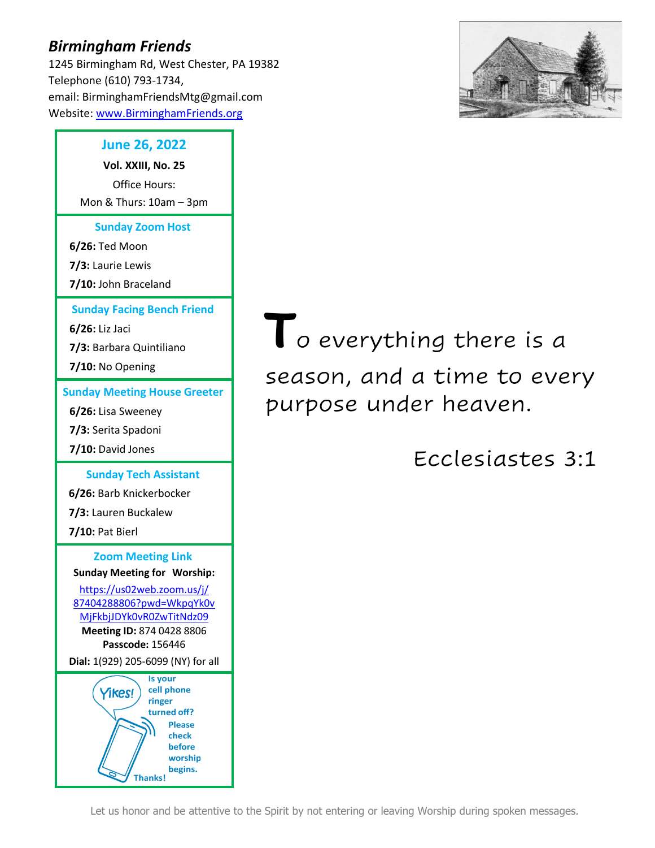# *Birmingham Friends*

1245 Birmingham Rd, West Chester, PA 19382 Telephone (610) 793-1734, email: BirminghamFriendsMtg@gmail.com Website: [www.BirminghamFriends.org](http://www.birminghamfriends.org/)



## **June 26, 2022**

**Vol. XXIII, No. 25** Office Hours: Mon & Thurs: 10am – 3pm

**Sunday Zoom Host**

**6/26:** Ted Moon

**7/3:** Laurie Lewis

**7/10:** John Braceland

**Sunday Facing Bench Friend**

**6/26:** Liz Jaci

**7/3:** Barbara Quintiliano

**7/10:** No Opening

**Sunday Meeting House Greeter**

**6/26:** Lisa Sweeney

**7/3:** Serita Spadoni

**7/10:** David Jones

**Sunday Tech Assistant 6/26:** Barb Knickerbocker

**7/3:** Lauren Buckalew

**7/10:** Pat Bierl

**Zoom Meeting Link Sunday Meeting for Worship:**

[https://us02web.zoom.us/j/](https://us02web.zoom.us/j/87404288806?pwd=WkpqYk0vMjFkbjJDYk0vR0ZwTitNdz09) [87404288806?pwd=WkpqYk0v](https://us02web.zoom.us/j/87404288806?pwd=WkpqYk0vMjFkbjJDYk0vR0ZwTitNdz09) [MjFkbjJDYk0vR0ZwTitNdz09](https://us02web.zoom.us/j/87404288806?pwd=WkpqYk0vMjFkbjJDYk0vR0ZwTitNdz09) **Meeting ID:** 874 0428 8806 **Passcode:** 156446

**Dial:** 1(929) 205-6099 (NY) for all



**T**o everything there is a season, and a time to every purpose under heaven.

Ecclesiastes 3:1